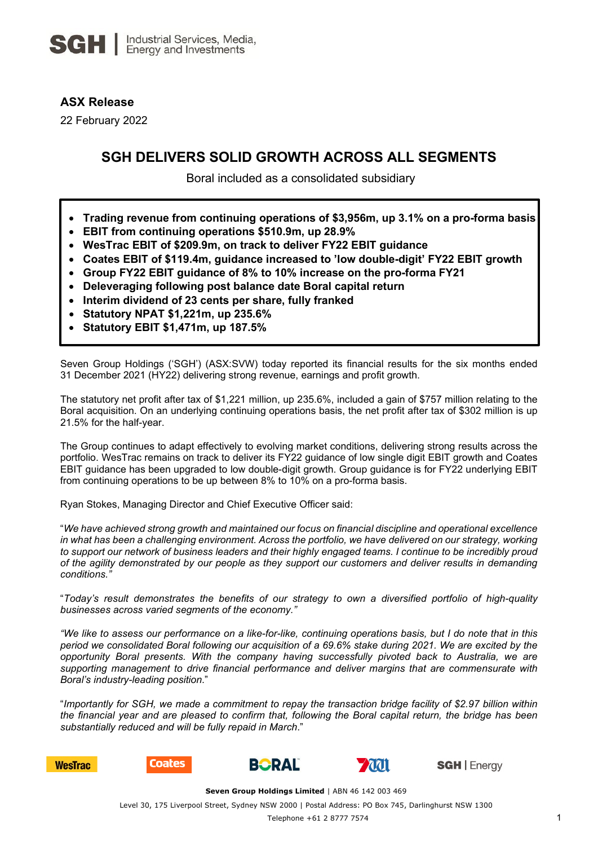# **ASX Release**

22 February 2022

# **SGH DELIVERS SOLID GROWTH ACROSS ALL SEGMENTS**

Boral included as a consolidated subsidiary

- **Trading revenue from continuing operations of \$3,956m, up 3.1% on a pro-forma basis**
- **EBIT from continuing operations \$510.9m, up 28.9%**
- **WesTrac EBIT of \$209.9m, on track to deliver FY22 EBIT guidance**
- **Coates EBIT of \$119.4m, guidance increased to 'low double-digit' FY22 EBIT growth**
- **Group FY22 EBIT guidance of 8% to 10% increase on the pro-forma FY21**
- **Deleveraging following post balance date Boral capital return**
- **Interim dividend of 23 cents per share, fully franked**
- **Statutory NPAT \$1,221m, up 235.6%**
- **Statutory EBIT \$1,471m, up 187.5%**

Seven Group Holdings ('SGH') (ASX:SVW) today reported its financial results for the six months ended 31 December 2021 (HY22) delivering strong revenue, earnings and profit growth.

The statutory net profit after tax of \$1,221 million, up 235.6%, included a gain of \$757 million relating to the Boral acquisition. On an underlying continuing operations basis, the net profit after tax of \$302 million is up 21.5% for the half-year.

The Group continues to adapt effectively to evolving market conditions, delivering strong results across the portfolio. WesTrac remains on track to deliver its FY22 guidance of low single digit EBIT growth and Coates EBIT guidance has been upgraded to low double-digit growth. Group guidance is for FY22 underlying EBIT from continuing operations to be up between 8% to 10% on a pro-forma basis.

Ryan Stokes, Managing Director and Chief Executive Officer said:

"*We have achieved strong growth and maintained our focus on financial discipline and operational excellence in what has been a challenging environment. Across the portfolio, we have delivered on our strategy, working to support our network of business leaders and their highly engaged teams. I continue to be incredibly proud of the agility demonstrated by our people as they support our customers and deliver results in demanding conditions."*

"*Today's result demonstrates the benefits of our strategy to own a diversified portfolio of high-quality businesses across varied segments of the economy."*

*"We like to assess our performance on a like-for-like, continuing operations basis, but I do note that in this period we consolidated Boral following our acquisition of a 69.6% stake during 2021. We are excited by the opportunity Boral presents. With the company having successfully pivoted back to Australia, we are supporting management to drive financial performance and deliver margins that are commensurate with Boral's industry-leading position*."

"*Importantly for SGH, we made a commitment to repay the transaction bridge facility of \$2.97 billion within the financial year and are pleased to confirm that, following the Boral capital return, the bridge has been substantially reduced and will be fully repaid in March*."



**Coates** 





**SGH** | Energy

Level 30, 175 Liverpool Street, Sydney NSW 2000 | Postal Address: PO Box 745, Darlinghurst NSW 1300

**Seven Group Holdings Limited** | ABN 46 142 003 469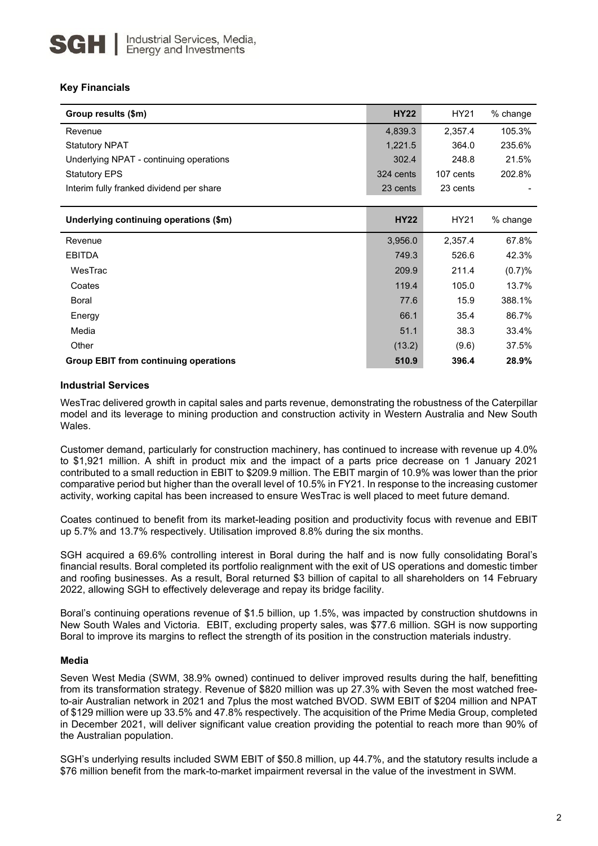## **Key Financials**

| Group results (\$m)                          | <b>HY22</b> | HY21      | % change |
|----------------------------------------------|-------------|-----------|----------|
| Revenue                                      | 4,839.3     | 2,357.4   | 105.3%   |
| <b>Statutory NPAT</b>                        | 1,221.5     | 364.0     | 235.6%   |
| Underlying NPAT - continuing operations      | 302.4       | 248.8     | 21.5%    |
| <b>Statutory EPS</b>                         | 324 cents   | 107 cents | 202.8%   |
| Interim fully franked dividend per share     | 23 cents    | 23 cents  |          |
|                                              |             |           |          |
| Underlying continuing operations (\$m)       | <b>HY22</b> | HY21      | % change |
| Revenue                                      | 3,956.0     | 2,357.4   | 67.8%    |
| <b>EBITDA</b>                                | 749.3       | 526.6     | 42.3%    |
| WesTrac                                      | 209.9       | 211.4     | (0.7)%   |
| Coates                                       | 119.4       | 105.0     | 13.7%    |
| Boral                                        | 77.6        | 15.9      | 388.1%   |
| Energy                                       | 66.1        | 35.4      | 86.7%    |
| Media                                        | 51.1        | 38.3      | 33.4%    |
| Other                                        | (13.2)      | (9.6)     | 37.5%    |
| <b>Group EBIT from continuing operations</b> | 510.9       | 396.4     | 28.9%    |

## **Industrial Services**

WesTrac delivered growth in capital sales and parts revenue, demonstrating the robustness of the Caterpillar model and its leverage to mining production and construction activity in Western Australia and New South Wales.

Customer demand, particularly for construction machinery, has continued to increase with revenue up 4.0% to \$1,921 million. A shift in product mix and the impact of a parts price decrease on 1 January 2021 contributed to a small reduction in EBIT to \$209.9 million. The EBIT margin of 10.9% was lower than the prior comparative period but higher than the overall level of 10.5% in FY21. In response to the increasing customer activity, working capital has been increased to ensure WesTrac is well placed to meet future demand.

Coates continued to benefit from its market-leading position and productivity focus with revenue and EBIT up 5.7% and 13.7% respectively. Utilisation improved 8.8% during the six months.

SGH acquired a 69.6% controlling interest in Boral during the half and is now fully consolidating Boral's financial results. Boral completed its portfolio realignment with the exit of US operations and domestic timber and roofing businesses. As a result, Boral returned \$3 billion of capital to all shareholders on 14 February 2022, allowing SGH to effectively deleverage and repay its bridge facility.

Boral's continuing operations revenue of \$1.5 billion, up 1.5%, was impacted by construction shutdowns in New South Wales and Victoria. EBIT, excluding property sales, was \$77.6 million. SGH is now supporting Boral to improve its margins to reflect the strength of its position in the construction materials industry.

### **Media**

Seven West Media (SWM, 38.9% owned) continued to deliver improved results during the half, benefitting from its transformation strategy. Revenue of \$820 million was up 27.3% with Seven the most watched freeto-air Australian network in 2021 and 7plus the most watched BVOD. SWM EBIT of \$204 million and NPAT of \$129 million were up 33.5% and 47.8% respectively. The acquisition of the Prime Media Group, completed in December 2021, will deliver significant value creation providing the potential to reach more than 90% of the Australian population.

SGH's underlying results included SWM EBIT of \$50.8 million, up 44.7%, and the statutory results include a \$76 million benefit from the mark-to-market impairment reversal in the value of the investment in SWM.